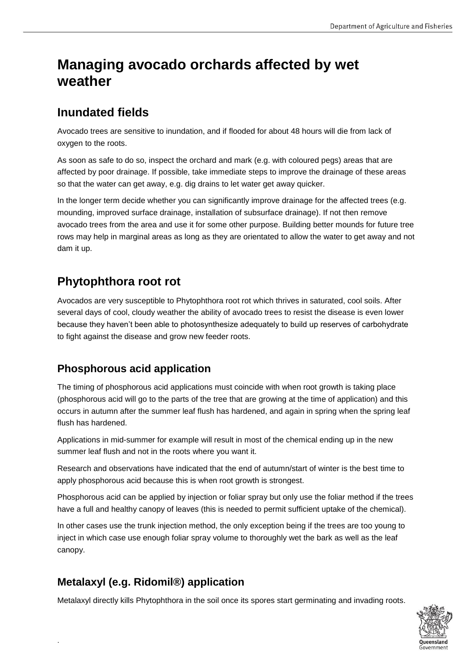# **Managing avocado orchards affected by wet weather**

## **Inundated fields**

Avocado trees are sensitive to inundation, and if flooded for about 48 hours will die from lack of oxygen to the roots.

As soon as safe to do so, inspect the orchard and mark (e.g. with coloured pegs) areas that are affected by poor drainage. If possible, take immediate steps to improve the drainage of these areas so that the water can get away, e.g. dig drains to let water get away quicker.

In the longer term decide whether you can significantly improve drainage for the affected trees (e.g. mounding, improved surface drainage, installation of subsurface drainage). If not then remove avocado trees from the area and use it for some other purpose. Building better mounds for future tree rows may help in marginal areas as long as they are orientated to allow the water to get away and not dam it up.

# **Phytophthora root rot**

Avocados are very susceptible to Phytophthora root rot which thrives in saturated, cool soils. After several days of cool, cloudy weather the ability of avocado trees to resist the disease is even lower because they haven't been able to photosynthesize adequately to build up reserves of carbohydrate to fight against the disease and grow new feeder roots.

### **Phosphorous acid application**

The timing of phosphorous acid applications must coincide with when root growth is taking place (phosphorous acid will go to the parts of the tree that are growing at the time of application) and this occurs in autumn after the summer leaf flush has hardened, and again in spring when the spring leaf flush has hardened.

Applications in mid-summer for example will result in most of the chemical ending up in the new summer leaf flush and not in the roots where you want it.

Research and observations have indicated that the end of autumn/start of winter is the best time to apply phosphorous acid because this is when root growth is strongest.

Phosphorous acid can be applied by injection or foliar spray but only use the foliar method if the trees have a full and healthy canopy of leaves (this is needed to permit sufficient uptake of the chemical).

In other cases use the trunk injection method, the only exception being if the trees are too young to inject in which case use enough foliar spray volume to thoroughly wet the bark as well as the leaf canopy.

### **Metalaxyl (e.g. Ridomil®) application**

.

Metalaxyl directly kills Phytophthora in the soil once its spores start germinating and invading roots.

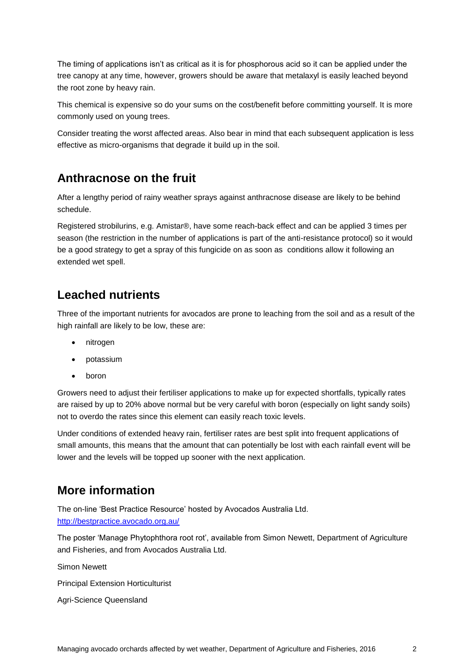The timing of applications isn't as critical as it is for phosphorous acid so it can be applied under the tree canopy at any time, however, growers should be aware that metalaxyl is easily leached beyond the root zone by heavy rain.

This chemical is expensive so do your sums on the cost/benefit before committing yourself. It is more commonly used on young trees.

Consider treating the worst affected areas. Also bear in mind that each subsequent application is less effective as micro-organisms that degrade it build up in the soil.

#### **Anthracnose on the fruit**

After a lengthy period of rainy weather sprays against anthracnose disease are likely to be behind schedule.

Registered strobilurins, e.g. Amistar®, have some reach-back effect and can be applied 3 times per season (the restriction in the number of applications is part of the anti-resistance protocol) so it would be a good strategy to get a spray of this fungicide on as soon as conditions allow it following an extended wet spell.

### **Leached nutrients**

Three of the important nutrients for avocados are prone to leaching from the soil and as a result of the high rainfall are likely to be low, these are:

- nitrogen
- potassium
- boron

Growers need to adjust their fertiliser applications to make up for expected shortfalls, typically rates are raised by up to 20% above normal but be very careful with boron (especially on light sandy soils) not to overdo the rates since this element can easily reach toxic levels.

Under conditions of extended heavy rain, fertiliser rates are best split into frequent applications of small amounts, this means that the amount that can potentially be lost with each rainfall event will be lower and the levels will be topped up sooner with the next application.

### **More information**

The on-line 'Best Practice Resource' hosted by Avocados Australia Ltd. <http://bestpractice.avocado.org.au/>

The poster 'Manage Phytophthora root rot', available from Simon Newett, Department of Agriculture and Fisheries, and from Avocados Australia Ltd.

Simon Newett

Principal Extension Horticulturist

Agri-Science Queensland